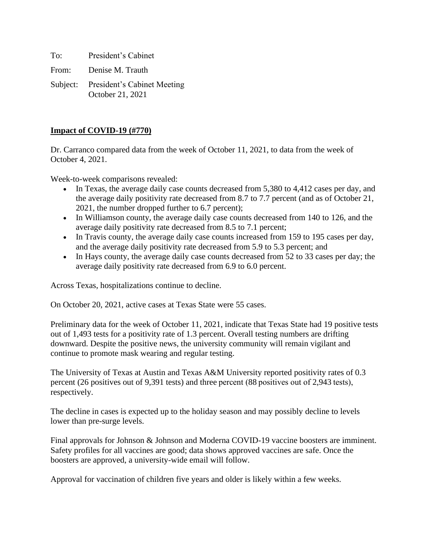To: President's Cabinet From: Denise M. Trauth Subject: President's Cabinet Meeting

October 21, 2021

# **Impact of COVID-19 (#770)**

Dr. Carranco compared data from the week of October 11, 2021, to data from the week of October 4, 2021.

Week-to-week comparisons revealed:

- In Texas, the average daily case counts decreased from 5,380 to 4,412 cases per day, and the average daily positivity rate decreased from 8.7 to 7.7 percent (and as of October 21, 2021, the number dropped further to 6.7 percent);
- In Williamson county, the average daily case counts decreased from 140 to 126, and the average daily positivity rate decreased from 8.5 to 7.1 percent;
- In Travis county, the average daily case counts increased from 159 to 195 cases per day, and the average daily positivity rate decreased from 5.9 to 5.3 percent; and
- In Hays county, the average daily case counts decreased from 52 to 33 cases per day; the average daily positivity rate decreased from 6.9 to 6.0 percent.

Across Texas, hospitalizations continue to decline.

On October 20, 2021, active cases at Texas State were 55 cases.

Preliminary data for the week of October 11, 2021, indicate that Texas State had 19 positive tests out of 1,493 tests for a positivity rate of 1.3 percent. Overall testing numbers are drifting downward. Despite the positive news, the university community will remain vigilant and continue to promote mask wearing and regular testing.

The University of Texas at Austin and Texas A&M University reported positivity rates of 0.3 percent (26 positives out of 9,391 tests) and three percent (88 positives out of 2,943 tests), respectively.

The decline in cases is expected up to the holiday season and may possibly decline to levels lower than pre-surge levels.

Final approvals for Johnson & Johnson and Moderna COVID-19 vaccine boosters are imminent. Safety profiles for all vaccines are good; data shows approved vaccines are safe. Once the boosters are approved, a university-wide email will follow.

Approval for vaccination of children five years and older is likely within a few weeks.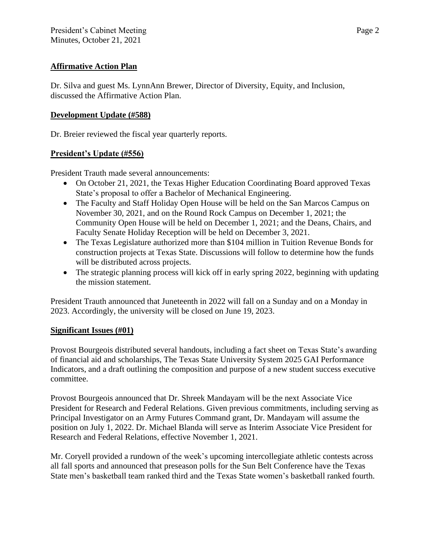## **Affirmative Action Plan**

Dr. Silva and guest Ms. LynnAnn Brewer, Director of Diversity, Equity, and Inclusion, discussed the Affirmative Action Plan.

## **Development Update (#588)**

Dr. Breier reviewed the fiscal year quarterly reports.

## **President's Update (#556)**

President Trauth made several announcements:

- On October 21, 2021, the Texas Higher Education Coordinating Board approved Texas State's proposal to offer a Bachelor of Mechanical Engineering.
- The Faculty and Staff Holiday Open House will be held on the San Marcos Campus on November 30, 2021, and on the Round Rock Campus on December 1, 2021; the Community Open House will be held on December 1, 2021; and the Deans, Chairs, and Faculty Senate Holiday Reception will be held on December 3, 2021.
- The Texas Legislature authorized more than \$104 million in Tuition Revenue Bonds for construction projects at Texas State. Discussions will follow to determine how the funds will be distributed across projects.
- The strategic planning process will kick off in early spring 2022, beginning with updating the mission statement.

President Trauth announced that Juneteenth in 2022 will fall on a Sunday and on a Monday in 2023. Accordingly, the university will be closed on June 19, 2023.

## **Significant Issues (#01)**

Provost Bourgeois distributed several handouts, including a fact sheet on Texas State's awarding of financial aid and scholarships, The Texas State University System 2025 GAI Performance Indicators, and a draft outlining the composition and purpose of a new student success executive committee.

Provost Bourgeois announced that Dr. Shreek Mandayam will be the next Associate Vice President for Research and Federal Relations. Given previous commitments, including serving as Principal Investigator on an Army Futures Command grant, Dr. Mandayam will assume the position on July 1, 2022. Dr. Michael Blanda will serve as Interim Associate Vice President for Research and Federal Relations, effective November 1, 2021.

Mr. Coryell provided a rundown of the week's upcoming intercollegiate athletic contests across all fall sports and announced that preseason polls for the Sun Belt Conference have the Texas State men's basketball team ranked third and the Texas State women's basketball ranked fourth.